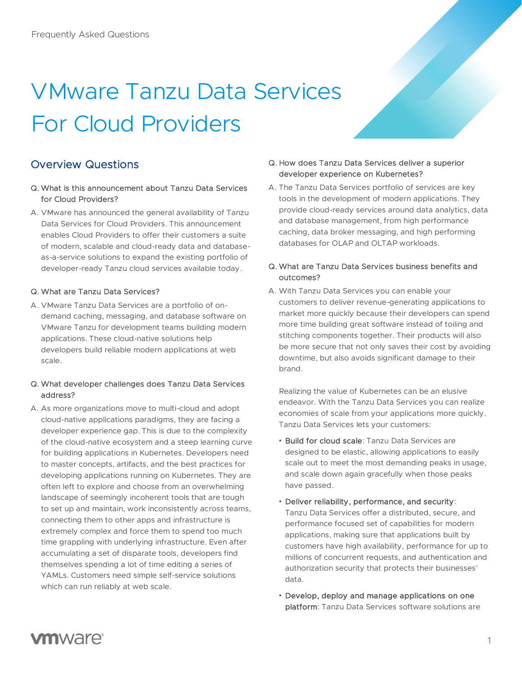# VMware Tanzu Data Services For Cloud Providers

# Overview Questions

- Q. What is this announcement about Tanzu Data Services for Cloud Providers?
- A. VMware has announced the general availability of Tanzu Data Services for Cloud Providers. This announcement enables Cloud Providers to offer their customers a suite of modern, scalable and cloud-ready data and databaseas-a-service solutions to expand the existing portfolio of developer-ready Tanzu cloud services available today.

# Q. What are Tanzu Data Services?

A. VMware Tanzu Data Services are a portfolio of ondemand caching, messaging, and database software on VMware Tanzu for development teams building modern applications. These cloud-native solutions help developers build reliable modern applications at web scale.

# Q. What developer challenges does Tanzu Data Services address?

A. As more organizations move to multi-cloud and adopt cloud-native applications paradigms, they are facing a developer experience gap. This is due to the complexity of the cloud-native ecosystem and a steep learning curve for building applications in Kubernetes. Developers need to master concepts, artifacts, and the best practices for developing applications running on Kubernetes. They are often left to explore and choose from an overwhelming landscape of seemingly incoherent tools that are tough to set up and maintain, work inconsistently across teams, connecting them to other apps and infrastructure is extremely complex and force them to spend too much time grappling with underlying infrastructure. Even after accumulating a set of disparate tools, developers find themselves spending a lot of time editing a series of YAMLs. Customers need simple self-service solutions which can run reliably at web scale.

#### Q. How does Tanzu Data Services deliver a superior developer experience on Kubernetes?

A. The Tanzu Data Services portfolio of services are key tools in the development of modern applications. They provide cloud-ready services around data analytics, data and database management, from high performance caching, data broker messaging, and high performing databases for OLAP and OLTAP workloads.

#### Q. What are Tanzu Data Services business benefits and outcomes?

A. With Tanzu Data Services you can enable your customers to deliver revenue-generating applications to market more quickly because their developers can spend more time building great software instead of toiling and stitching components together. Their products will also be more secure that not only saves their cost by avoiding downtime, but also avoids significant damage to their brand.

Realizing the value of Kubernetes can be an elusive endeavor. With the Tanzu Data Services you can realize economies of scale from your applications more quickly. Tanzu Data Services lets your customers:

- Build for cloud scale: Tanzu Data Services are designed to be elastic, allowing applications to easily scale out to meet the most demanding peaks in usage, and scale down again gracefully when those peaks have passed.
- Deliver reliability, performance, and security: Tanzu Data Services offer a distributed, secure, and performance focused set of capabilities for modern applications, making sure that applications built by customers have high availability, performance for up to millions of concurrent requests, and authentication and authorization security that protects their businesses' data.
- Develop, deploy and manage applications on one platform: Tanzu Data Services software solutions are

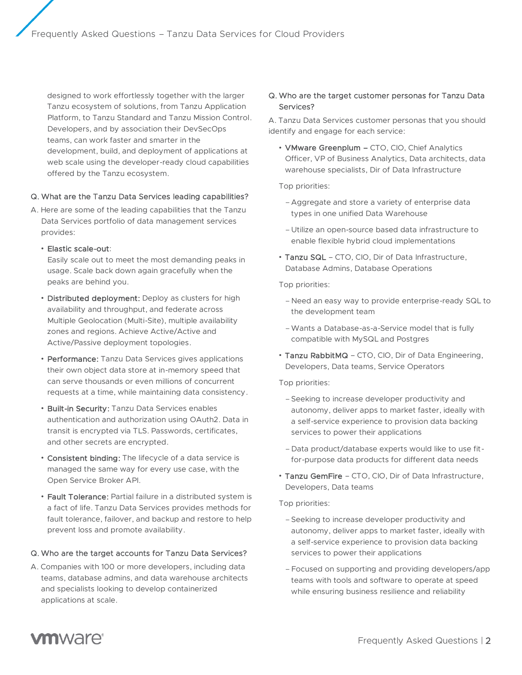designed to work effortlessly together with the larger Tanzu ecosystem of solutions, from Tanzu Application Platform, to Tanzu Standard and Tanzu Mission Control. Developers, and by association their DevSecOps teams, can work faster and smarter in the development, build, and deployment of applications at web scale using the developer-ready cloud capabilities offered by the Tanzu ecosystem.

#### Q. What are the Tanzu Data Services leading capabilities?

A. Here are some of the leading capabilities that the Tanzu Data Services portfolio of data management services provides:

#### • Elastic scale-out:

Easily scale out to meet the most demanding peaks in usage. Scale back down again gracefully when the peaks are behind you.

- Distributed deployment: Deploy as clusters for high availability and throughput, and federate across Multiple Geolocation (Multi-Site), multiple availability zones and regions. Achieve Active/Active and Active/Passive deployment topologies.
- Performance: Tanzu Data Services gives applications their own object data store at in-memory speed that can serve thousands or even millions of concurrent requests at a time, while maintaining data consistency.
- Built-in Security: Tanzu Data Services enables authentication and authorization using OAuth2. Data in transit is encrypted via TLS. Passwords, certificates, and other secrets are encrypted.
- Consistent binding: The lifecycle of a data service is managed the same way for every use case, with the Open Service Broker API.
- Fault Tolerance: Partial failure in a distributed system is a fact of life. Tanzu Data Services provides methods for fault tolerance, failover, and backup and restore to help prevent loss and promote availability.

# Q. Who are the target accounts for Tanzu Data Services?

A. Companies with 100 or more developers, including data teams, database admins, and data warehouse architects and specialists looking to develop containerized applications at scale.

# Q. Who are the target customer personas for Tanzu Data Services?

A. Tanzu Data Services customer personas that you should identify and engage for each service:

• VMware Greenplum – CTO, CIO, Chief Analytics Officer, VP of Business Analytics, Data architects, data warehouse specialists, Dir of Data Infrastructure

Top priorities:

- Aggregate and store a variety of enterprise data types in one unified Data Warehouse
- Utilize an open-source based data infrastructure to enable flexible hybrid cloud implementations
- Tanzu SQL CTO, CIO, Dir of Data Infrastructure, Database Admins, Database Operations

Top priorities:

- Need an easy way to provide enterprise-ready SQL to the development team
- –Wants a Database-as-a-Service model that is fully compatible with MySQL and Postgres
- Tanzu RabbitMQ CTO, CIO, Dir of Data Engineering, Developers, Data teams, Service Operators

Top priorities:

- –Seeking to increase developer productivity and autonomy, deliver apps to market faster, ideally with a self-service experience to provision data backing services to power their applications
- Data product/database experts would like to use fitfor-purpose data products for different data needs
- Tanzu GemFire CTO, CIO, Dir of Data Infrastructure, Developers, Data teams

Top priorities:

- –Seeking to increase developer productivity and autonomy, deliver apps to market faster, ideally with a self-service experience to provision data backing services to power their applications
- –Focused on supporting and providing developers/app teams with tools and software to operate at speed while ensuring business resilience and reliability

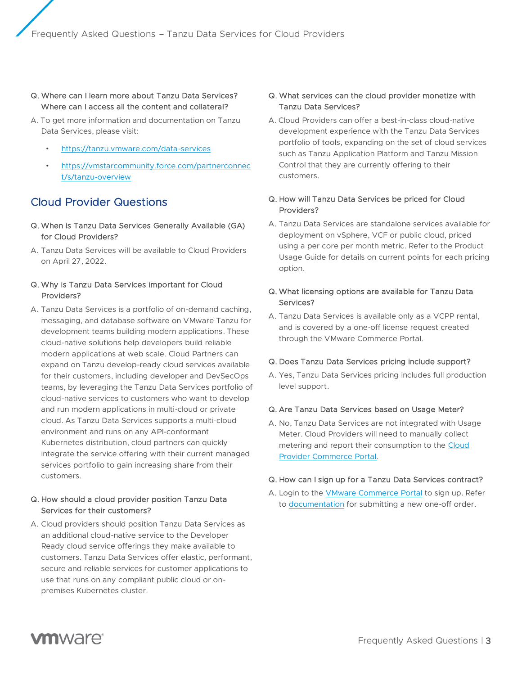#### Q. Where can I learn more about Tanzu Data Services? Where can I access all the content and collateral?

- A. To get more information and documentation on Tanzu Data Services, please visit:
	- <https://tanzu.vmware.com/data-services>
	- [https://vmstarcommunity.force.com/partnerconnec](https://vmstarcommunity.force.com/partnerconnect/s/tanzu-overview) [t/s/tanzu-overview](https://vmstarcommunity.force.com/partnerconnect/s/tanzu-overview)

# Cloud Provider Questions

- Q. When is Tanzu Data Services Generally Available (GA) for Cloud Providers?
- A. Tanzu Data Services will be available to Cloud Providers on April 27, 2022.

# Q. Why is Tanzu Data Services important for Cloud Providers?

A. Tanzu Data Services is a portfolio of on-demand caching, messaging, and database software on VMware Tanzu for development teams building modern applications. These cloud-native solutions help developers build reliable modern applications at web scale. Cloud Partners can expand on Tanzu develop-ready cloud services available for their customers, including developer and DevSecOps teams, by leveraging the Tanzu Data Services portfolio of cloud-native services to customers who want to develop and run modern applications in multi-cloud or private cloud. As Tanzu Data Services supports a multi-cloud environment and runs on any API-conformant Kubernetes distribution, cloud partners can quickly integrate the service offering with their current managed services portfolio to gain increasing share from their customers.

# Q. How should a cloud provider position Tanzu Data Services for their customers?

A. Cloud providers should position Tanzu Data Services as an additional cloud-native service to the Developer Ready cloud service offerings they make available to customers. Tanzu Data Services offer elastic, performant, secure and reliable services for customer applications to use that runs on any compliant public cloud or onpremises Kubernetes cluster.

#### Q. What services can the cloud provider monetize with Tanzu Data Services?

A. Cloud Providers can offer a best-in-class cloud-native development experience with the Tanzu Data Services portfolio of tools, expanding on the set of cloud services such as Tanzu Application Platform and Tanzu Mission Control that they are currently offering to their customers.

# Q. How will Tanzu Data Services be priced for Cloud Providers?

A. Tanzu Data Services are standalone services available for deployment on vSphere, VCF or public cloud, priced using a per core per month metric. Refer to the Product Usage Guide for details on current points for each pricing option.

#### Q. What licensing options are available for Tanzu Data Services?

A. Tanzu Data Services is available only as a VCPP rental, and is covered by a one-off license request created through the VMware Commerce Portal.

#### Q. Does Tanzu Data Services pricing include support?

A. Yes, Tanzu Data Services pricing includes full production level support.

#### Q. Are Tanzu Data Services based on Usage Meter?

A. No, Tanzu Data Services are not integrated with Usage Meter. Cloud Providers will need to manually collect metering and report their consumption to the [Cloud](https://vcp.vmware.com/login)  [Provider Commerce Portal.](https://vcp.vmware.com/login) 

#### Q. How can I sign up for a Tanzu Data Services contract?

A. Login to the [VMware Commerce Portal](https://vcp.vmware.com/login) to sign up. Refer to [documentation](https://docs.vmware.com/en/VMware-Cloud-Provider-Commerce-Portal/services/Using-Commerce-Platform-Provider/GUID-C939FA0D-006F-46E7-BDF4-ABBAAE177988.html) for submitting a new one-off order.